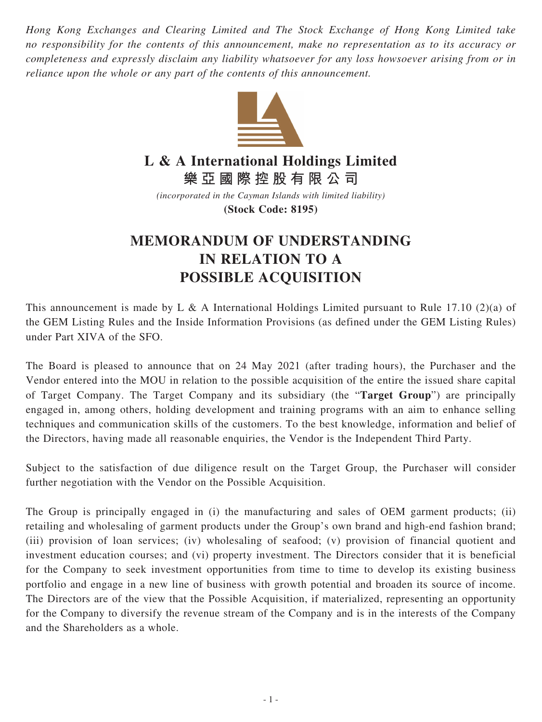*Hong Kong Exchanges and Clearing Limited and The Stock Exchange of Hong Kong Limited take no responsibility for the contents of this announcement, make no representation as to its accuracy or completeness and expressly disclaim any liability whatsoever for any loss howsoever arising from or in reliance upon the whole or any part of the contents of this announcement.*



## **L & A International Holdings Limited**

**樂亞國際控股有限公司**

*(incorporated in the Cayman Islands with limited liability)* **(Stock Code: 8195)**

## **MEMORANDUM OF UNDERSTANDING IN RELATION TO A POSSIBLE ACQUISITION**

This announcement is made by L & A International Holdings Limited pursuant to Rule 17.10 (2)(a) of the GEM Listing Rules and the Inside Information Provisions (as defined under the GEM Listing Rules) under Part XIVA of the SFO.

The Board is pleased to announce that on 24 May 2021 (after trading hours), the Purchaser and the Vendor entered into the MOU in relation to the possible acquisition of the entire the issued share capital of Target Company. The Target Company and its subsidiary (the "**Target Group**") are principally engaged in, among others, holding development and training programs with an aim to enhance selling techniques and communication skills of the customers. To the best knowledge, information and belief of the Directors, having made all reasonable enquiries, the Vendor is the Independent Third Party.

Subject to the satisfaction of due diligence result on the Target Group, the Purchaser will consider further negotiation with the Vendor on the Possible Acquisition.

The Group is principally engaged in (i) the manufacturing and sales of OEM garment products; (ii) retailing and wholesaling of garment products under the Group's own brand and high-end fashion brand; (iii) provision of loan services; (iv) wholesaling of seafood; (v) provision of financial quotient and investment education courses; and (vi) property investment. The Directors consider that it is beneficial for the Company to seek investment opportunities from time to time to develop its existing business portfolio and engage in a new line of business with growth potential and broaden its source of income. The Directors are of the view that the Possible Acquisition, if materialized, representing an opportunity for the Company to diversify the revenue stream of the Company and is in the interests of the Company and the Shareholders as a whole.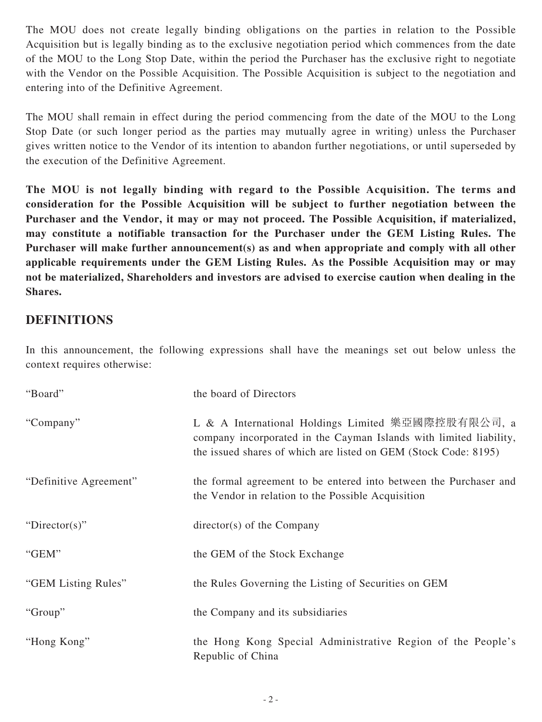The MOU does not create legally binding obligations on the parties in relation to the Possible Acquisition but is legally binding as to the exclusive negotiation period which commences from the date of the MOU to the Long Stop Date, within the period the Purchaser has the exclusive right to negotiate with the Vendor on the Possible Acquisition. The Possible Acquisition is subject to the negotiation and entering into of the Definitive Agreement.

The MOU shall remain in effect during the period commencing from the date of the MOU to the Long Stop Date (or such longer period as the parties may mutually agree in writing) unless the Purchaser gives written notice to the Vendor of its intention to abandon further negotiations, or until superseded by the execution of the Definitive Agreement.

**The MOU is not legally binding with regard to the Possible Acquisition. The terms and consideration for the Possible Acquisition will be subject to further negotiation between the Purchaser and the Vendor, it may or may not proceed. The Possible Acquisition, if materialized, may constitute a notifiable transaction for the Purchaser under the GEM Listing Rules. The Purchaser will make further announcement(s) as and when appropriate and comply with all other applicable requirements under the GEM Listing Rules. As the Possible Acquisition may or may not be materialized, Shareholders and investors are advised to exercise caution when dealing in the Shares.**

## **DEFINITIONS**

In this announcement, the following expressions shall have the meanings set out below unless the context requires otherwise:

| "Board"                | the board of Directors                                                                                                                                                                      |
|------------------------|---------------------------------------------------------------------------------------------------------------------------------------------------------------------------------------------|
| "Company"              | L & A International Holdings Limited 樂亞國際控股有限公司, a<br>company incorporated in the Cayman Islands with limited liability,<br>the issued shares of which are listed on GEM (Stock Code: 8195) |
| "Definitive Agreement" | the formal agreement to be entered into between the Purchaser and<br>the Vendor in relation to the Possible Acquisition                                                                     |
| "Director(s)"          | $directory(s)$ of the Company                                                                                                                                                               |
| "GEM"                  | the GEM of the Stock Exchange                                                                                                                                                               |
| "GEM Listing Rules"    | the Rules Governing the Listing of Securities on GEM                                                                                                                                        |
| "Group"                | the Company and its subsidiaries                                                                                                                                                            |
| "Hong Kong"            | the Hong Kong Special Administrative Region of the People's<br>Republic of China                                                                                                            |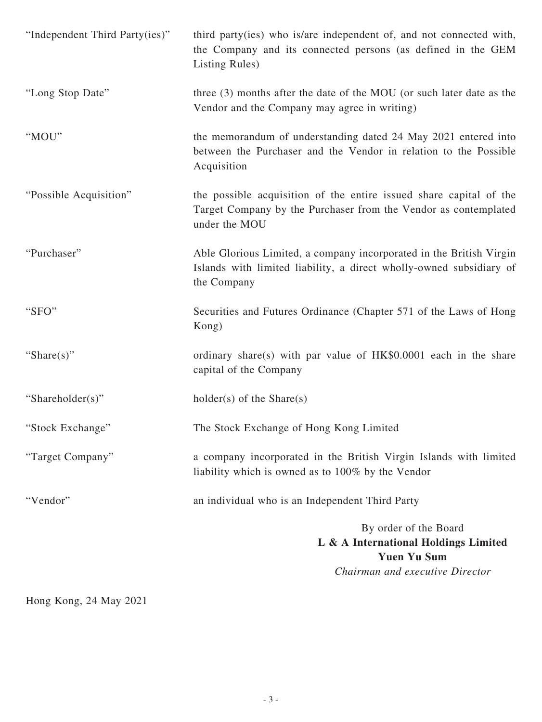| "Independent Third Party(ies)" | third party(ies) who is/are independent of, and not connected with,<br>the Company and its connected persons (as defined in the GEM<br>Listing Rules)     |
|--------------------------------|-----------------------------------------------------------------------------------------------------------------------------------------------------------|
| "Long Stop Date"               | three (3) months after the date of the MOU (or such later date as the<br>Vendor and the Company may agree in writing)                                     |
| "MOU"                          | the memorandum of understanding dated 24 May 2021 entered into<br>between the Purchaser and the Vendor in relation to the Possible<br>Acquisition         |
| "Possible Acquisition"         | the possible acquisition of the entire issued share capital of the<br>Target Company by the Purchaser from the Vendor as contemplated<br>under the MOU    |
| "Purchaser"                    | Able Glorious Limited, a company incorporated in the British Virgin<br>Islands with limited liability, a direct wholly-owned subsidiary of<br>the Company |
| "SFO"                          | Securities and Futures Ordinance (Chapter 571 of the Laws of Hong<br>Kong)                                                                                |
| "Share $(s)$ "                 | ordinary share(s) with par value of HK\$0.0001 each in the share<br>capital of the Company                                                                |
| "Shareholder(s)"               | $holder(s)$ of the Share $(s)$                                                                                                                            |
| "Stock Exchange"               | The Stock Exchange of Hong Kong Limited                                                                                                                   |
| "Target Company"               | a company incorporated in the British Virgin Islands with limited<br>liability which is owned as to 100% by the Vendor                                    |
| "Vendor"                       | an individual who is an Independent Third Party                                                                                                           |
|                                | By order of the Board<br>L & A International Holdings Limited<br><b>Yuen Yu Sum</b><br>Chairman and executive Director                                    |

Hong Kong, 24 May 2021